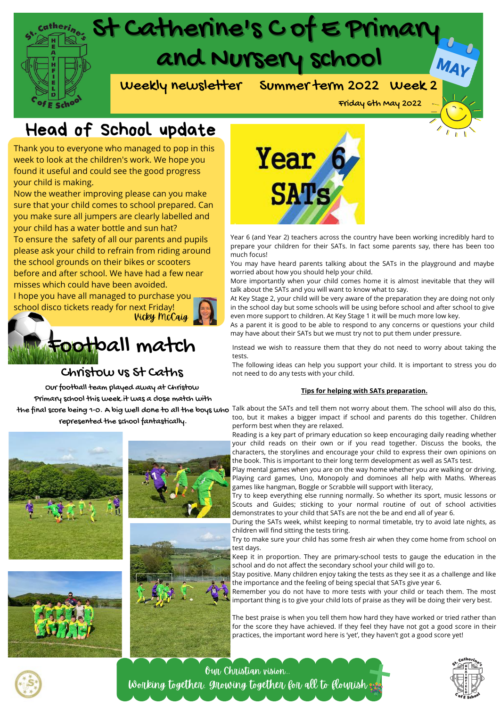

# Head of School update

Thank you to everyone who managed to pop in this week to look at the children's work. We hope you found it useful and could see the good progress your child is making.

Now the weather improving please can you make sure that your child comes to school prepared. Can you make sure all jumpers are clearly labelled and your child has a water bottle and sun hat?

To ensure the safety of all our parents and pupils please ask your child to refrain from riding around the school grounds on their bikes or scooters before and after school. We have had a few near misses which could have been avoided. I hope you have all managed to purchase you

school disco tickets ready for next Friday!



## Christow vs St Caths

Our football team played away at Christow Primary school this week.it was a close match with the final score being 1-0. A big well done to all the boys who represented the school fantastically.











Year 6 (and Year 2) teachers across the country have been working incredibly hard to prepare your children for their SATs. In fact some parents say, there has been too much focus!

You may have heard parents talking about the SATs in the playground and maybe worried about how you should help your child.

More importantly when your child comes home it is almost inevitable that they will talk about the SATs and you will want to know what to say.

At Key Stage 2, your child will be very aware of the preparation they are doing not only in the school day but some schools will be using before school and after school to give even more support to children. At Key Stage 1 it will be much more low key.

As a parent it is good to be able to respond to any concerns or questions your child may have about their SATs but we must try not to put them under pressure.

Instead we wish to reassure them that they do not need to worry about taking the tests.

The following ideas can help you support your child. It is important to stress you do not need to do any tests with your child.

#### **Tips for helping with SATs preparation.**

Talk about the SATs and tell them not worry about them. The school will also do this, too, but it makes a bigger impact if school and parents do this together. Children perform best when they are relaxed.

Reading is a key part of primary education so keep encouraging daily reading whether your child reads on their own or if you read together. Discuss the books, the characters, the storylines and encourage your child to express their own opinions on the book. This is important to their long term development as well as SATs test.

Play mental games when you are on the way home whether you are walking or driving. Playing card games, Uno, Monopoly and dominoes all help with Maths. Whereas games like hangman, Boggle or Scrabble will support with literacy,

Try to keep everything else running normally. So whether its sport, music lessons or Scouts and Guides; sticking to your normal routine of out of school activities demonstrates to your child that SATs are not the be and end all of year 6.

During the SATs week, whilst keeping to normal timetable, try to avoid late nights, as children will find sitting the tests tiring.

Try to make sure your child has some fresh air when they come home from school on test days.

Keep it in proportion. They are primary-school tests to gauge the education in the school and do not affect the secondary school your child will go to.

Stay positive. Many children enjoy taking the tests as they see it as a challenge and like the importance and the feeling of being special that SATs give year 6.

Remember you do not have to more tests with your child or teach them. The most important thing is to give your child lots of praise as they will be doing their very best.

The best praise is when you tell them how hard they have worked or tried rather than for the score they have achieved. If they feel they have not got a good score in their practices, the important word here is 'yet', they haven't got a good score yet!



Our Christian vision... Working together, growing together for all to flourish

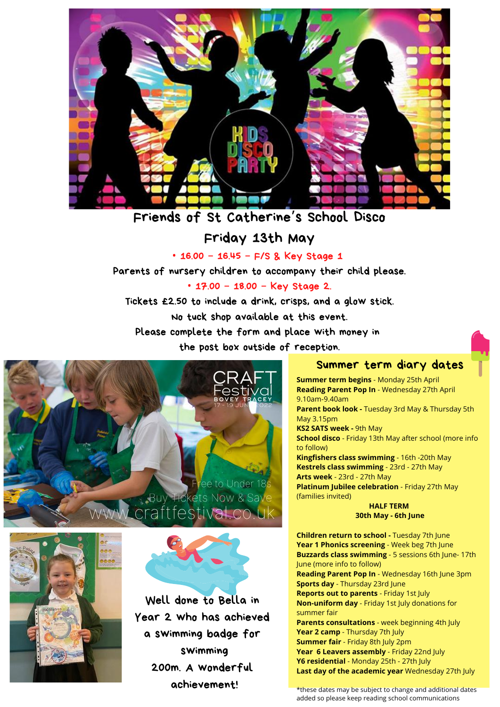

### Friends of St Catherine 's School Disco

#### Friday 13th May

• 16.00 – 16.45 – F/S & Key Stage 1

Parents of nursery children to accompany their child please.

• 17.00 – 18.00 – Key Stage 2.

Tickets £2.50 to include a drink, crisps, and a glow stick.

No tuck shop available at this event.

Please complete the form and place with money in

the post box outside of reception.





Well done to Bella in Year 2 who has achieved a swimming badge for swimming 200m. A wonderful achievement!

#### Summer term diary dates

**Summer term begins** - Monday 25th April **Reading Parent Pop In** - Wednesday 27th April 9.10am-9.40am **Parent book look -** Tuesday 3rd May & Thursday 5th May 3.15pm **KS2 SATS week -** 9th May **School disco** - Friday 13th May after school (more info to follow) **Kingfishers class swimming** - 16th -20th May **Kestrels class swimming** - 23rd - 27th May **Arts week** - 23rd - 27th May **Platinum Jubilee celebration** - Friday 27th May (families invited)

**HALF TERM 30th May - 6th June**

**Children return to school -** Tuesday 7th June **Year 1 Phonics screening** - Week beg 7th June **Buzzards class swimming** - 5 sessions 6th June- 17th June (more info to follow) **Reading Parent Pop In** - Wednesday 16th June 3pm **Sports day** - Thursday 23rd June **Reports out to parents** - Friday 1st July **Non-uniform day** - Friday 1st July donations for summer fair **Parents consultations** - week beginning 4th July **Year 2 camp** - Thursday 7th July **Summer fair** - Friday 8th July 2pm **Year 6 Leavers assembly** - Friday 22nd July **Y6 residential** - Monday 25th - 27th July **Last day of the academic year** Wednesday 27th July

\*these dates may be subject to change and additional dates added so please keep reading school communications